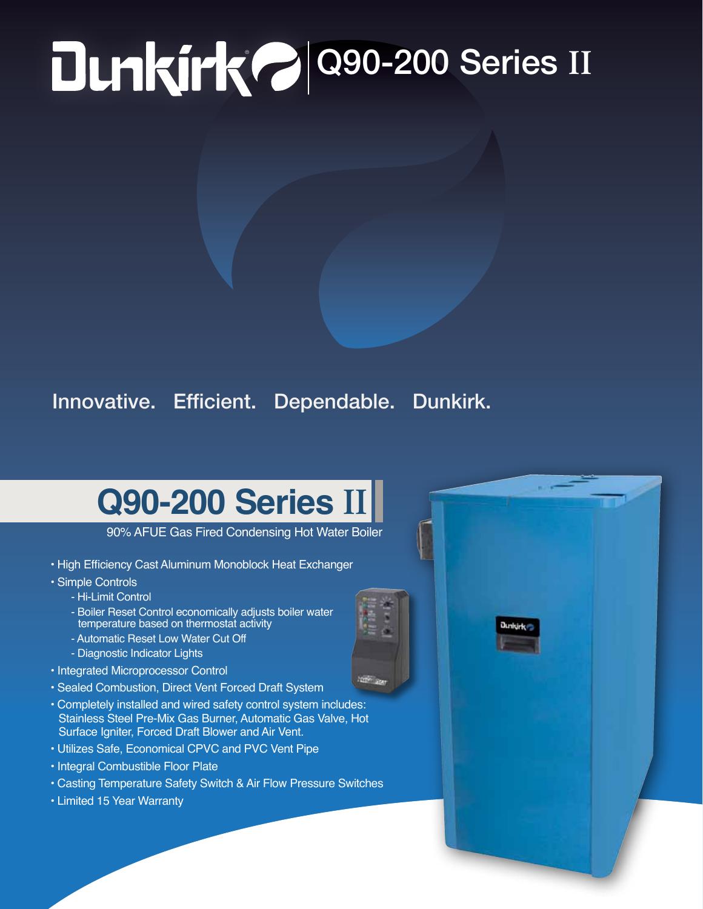## **PO 200-200 Series II**

## Innovative. Efficient. Dependable. Dunkirk.

## **Q90-200 Series II**

90% AFUE Gas Fired Condensing Hot Water Boiler

- High Efficiency Cast Aluminum Monoblock Heat Exchanger
- Simple Controls
	- Hi-Limit Control
	- Boiler Reset Control economically adjusts boiler water temperature based on thermostat activity
	- Automatic Reset Low Water Cut Off
	- Diagnostic Indicator Lights
- Integrated Microprocessor Control
- Sealed Combustion, Direct Vent Forced Draft System
- Completely installed and wired safety control system includes: Stainless Steel Pre-Mix Gas Burner, Automatic Gas Valve, Hot Surface Igniter, Forced Draft Blower and Air Vent.
- Utilizes Safe, Economical CPVC and PVC Vent Pipe
- Integral Combustible Floor Plate
- Casting Temperature Safety Switch & Air Flow Pressure Switches
- Limited 15 Year Warranty